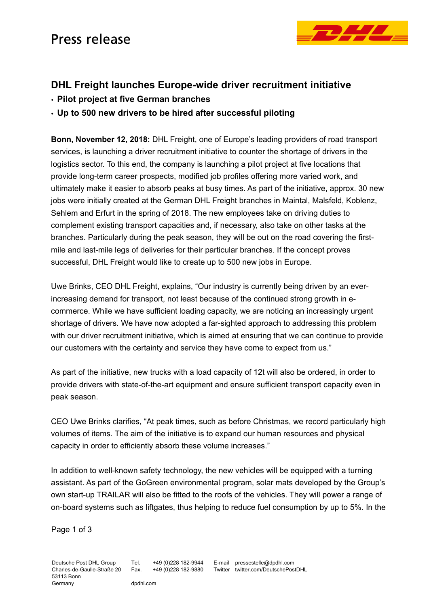## Press release



## **DHL Freight launches Europe-wide driver recruitment initiative**

- **Pilot project at five German branches**
- **Up to 500 new drivers to be hired after successful piloting**

**Bonn, November 12, 2018:** DHL Freight, one of Europe's leading providers of road transport services, is launching a driver recruitment initiative to counter the shortage of drivers in the logistics sector. To this end, the company is launching a pilot project at five locations that provide long-term career prospects, modified job profiles offering more varied work, and ultimately make it easier to absorb peaks at busy times. As part of the initiative, approx. 30 new jobs were initially created at the German DHL Freight branches in Maintal, Malsfeld, Koblenz, Sehlem and Erfurt in the spring of 2018. The new employees take on driving duties to complement existing transport capacities and, if necessary, also take on other tasks at the branches. Particularly during the peak season, they will be out on the road covering the firstmile and last-mile legs of deliveries for their particular branches. If the concept proves successful, DHL Freight would like to create up to 500 new jobs in Europe.

Uwe Brinks, CEO DHL Freight, explains, "Our industry is currently being driven by an everincreasing demand for transport, not least because of the continued strong growth in ecommerce. While we have sufficient loading capacity, we are noticing an increasingly urgent shortage of drivers. We have now adopted a far-sighted approach to addressing this problem with our driver recruitment initiative, which is aimed at ensuring that we can continue to provide our customers with the certainty and service they have come to expect from us."

As part of the initiative, new trucks with a load capacity of 12t will also be ordered, in order to provide drivers with state-of-the-art equipment and ensure sufficient transport capacity even in peak season.

CEO Uwe Brinks clarifies, "At peak times, such as before Christmas, we record particularly high volumes of items. The aim of the initiative is to expand our human resources and physical capacity in order to efficiently absorb these volume increases."

In addition to well-known safety technology, the new vehicles will be equipped with a turning assistant. As part of the GoGreen environmental program, solar mats developed by the Group's own start-up TRAILAR will also be fitted to the roofs of the vehicles. They will power a range of on-board systems such as liftgates, thus helping to reduce fuel consumption by up to 5%. In the

> E-mail pressestelle@dpdhl.com Twitter twitter.com/DeutschePostDHL

Page 1 of 3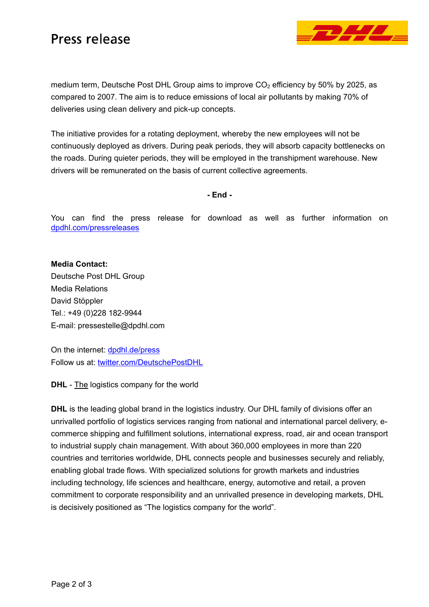## Press release



medium term, Deutsche Post DHL Group aims to improve  $CO<sub>2</sub>$  efficiency by 50% by 2025, as compared to 2007. The aim is to reduce emissions of local air pollutants by making 70% of deliveries using clean delivery and pick-up concepts.

The initiative provides for a rotating deployment, whereby the new employees will not be continuously deployed as drivers. During peak periods, they will absorb capacity bottlenecks on the roads. During quieter periods, they will be employed in the transhipment warehouse. New drivers will be remunerated on the basis of current collective agreements.

**- End -** 

You can find the press release for download as well as further information on dpdhl.com/pressreleases

**Media Contact:**  Deutsche Post DHL Group Media Relations David Stöppler Tel.: +49 (0)228 182-9944 E-mail: pressestelle@dpdhl.com

On the internet: dpdhl.de/press Follow us at: twitter.com/DeutschePostDHL

**DHL** - The logistics company for the world

**DHL** is the leading global brand in the logistics industry. Our DHL family of divisions offer an unrivalled portfolio of logistics services ranging from national and international parcel delivery, ecommerce shipping and fulfillment solutions, international express, road, air and ocean transport to industrial supply chain management. With about 360,000 employees in more than 220 countries and territories worldwide, DHL connects people and businesses securely and reliably, enabling global trade flows. With specialized solutions for growth markets and industries including technology, life sciences and healthcare, energy, automotive and retail, a proven commitment to corporate responsibility and an unrivalled presence in developing markets, DHL is decisively positioned as "The logistics company for the world".